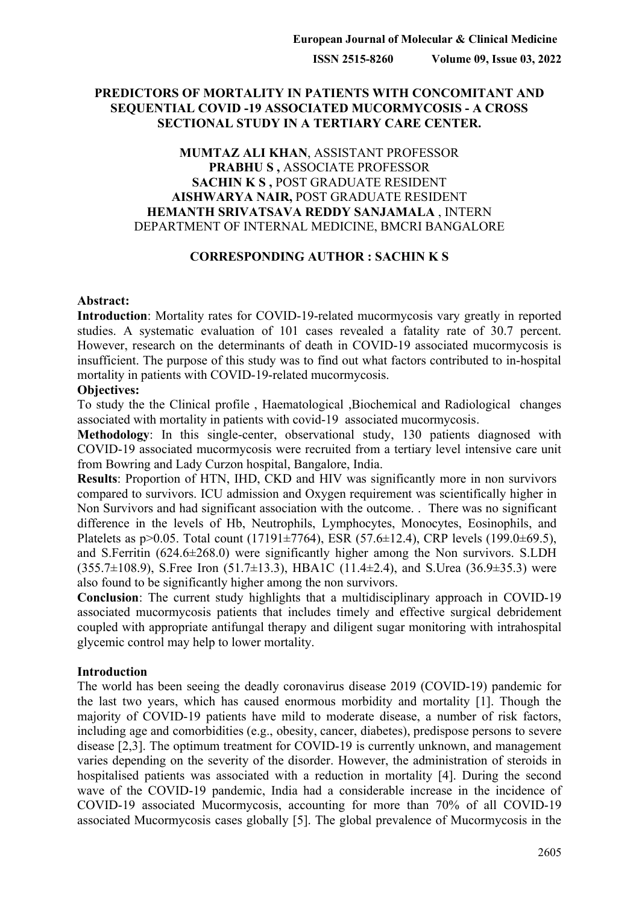## **PREDICTORS OF MORTALITY IN PATIENTS WITH CONCOMITANT AND SEQUENTIAL COVID -19 ASSOCIATED MUCORMYCOSIS - A CROSS SECTIONAL STUDY IN A TERTIARY CARE CENTER.**

## **MUMTAZ ALI KHAN**, ASSISTANT PROFESSOR **PRABHU S ,** ASSOCIATE PROFESSOR **SACHIN K S ,** POST GRADUATE RESIDENT **AISHWARYA NAIR,** POST GRADUATE RESIDENT **HEMANTH SRIVATSAVA REDDY SANJAMALA** , INTERN DEPARTMENT OF INTERNAL MEDICINE, BMCRI BANGALORE

## **CORRESPONDING AUTHOR : SACHIN K S**

#### **Abstract:**

**Introduction**: Mortality rates for COVID-19-related mucormycosis vary greatly in reported studies. A systematic evaluation of 101 cases revealed a fatality rate of 30.7 percent. However, research on the determinants of death in COVID-19 associated mucormycosis is insufficient. The purpose of this study was to find out what factors contributed to in-hospital mortality in patients with COVID-19-related mucormycosis.

#### **Objectives:**

To study the the Clinical profile , Haematological ,Biochemical and Radiological changes associated with mortality in patients with covid-19 associated mucormycosis.

**Methodology**: In this single-center, observational study, 130 patients diagnosed with COVID-19 associated mucormycosis were recruited from a tertiary level intensive care unit from Bowring and Lady Curzon hospital, Bangalore, India.

**Results**: Proportion of HTN, IHD, CKD and HIV was significantly more in non survivors compared to survivors. ICU admission and Oxygen requirement was scientifically higher in Non Survivors and had significant association with the outcome. . There was no significant difference in the levels of Hb, Neutrophils, Lymphocytes, Monocytes, Eosinophils, and Platelets as  $p > 0.05$ . Total count (17191 $\pm$ 7764), ESR (57.6 $\pm$ 12.4), CRP levels (199.0 $\pm$ 69.5), and S.Ferritin (624.6±268.0) were significantly higher among the Non survivors. S.LDH  $(355.7\pm108.9)$ , S.Free Iron  $(51.7\pm13.3)$ , HBA1C  $(11.4\pm2.4)$ , and S.Urea  $(36.9\pm35.3)$  were also found to be significantly higher among the non survivors.

**Conclusion**: The current study highlights that a multidisciplinary approach in COVID-19 associated mucormycosis patients that includes timely and effective surgical debridement coupled with appropriate antifungal therapy and diligent sugar monitoring with intrahospital glycemic control may help to lower mortality.

## **Introduction**

The world has been seeing the deadly coronavirus disease 2019 (COVID-19) pandemic for the last two years, which has caused enormous morbidity and mortality [1]. Though the majority of COVID-19 patients have mild to moderate disease, a number of risk factors, including age and comorbidities (e.g., obesity, cancer, diabetes), predispose persons to severe disease [2,3]. The optimum treatment for COVID-19 is currently unknown, and management varies depending on the severity of the disorder. However, the administration of steroids in hospitalised patients was associated with a reduction in mortality [4]. During the second wave of the COVID-19 pandemic, India had a considerable increase in the incidence of COVID-19 associated Mucormycosis, accounting for more than 70% of all COVID-19 associated Mucormycosis cases globally [5]. The global prevalence of Mucormycosis in the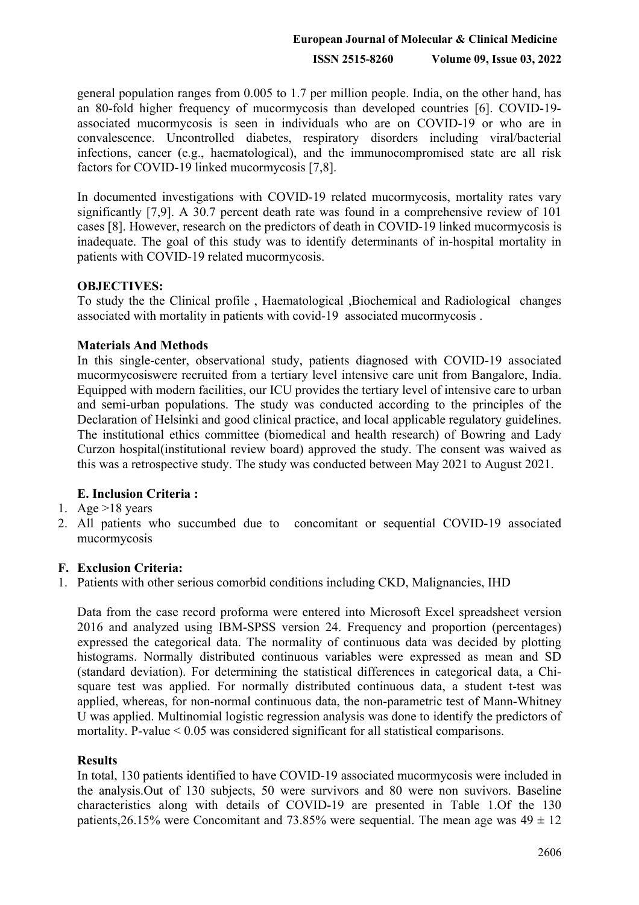general population ranges from 0.005 to 1.7 per million people. India, on the other hand, has an 80-fold higher frequency of mucormycosis than developed countries [6]. COVID-19 associated mucormycosis is seen in individuals who are on COVID-19 or who are in convalescence. Uncontrolled diabetes, respiratory disorders including viral/bacterial infections, cancer (e.g., haematological), and the immunocompromised state are all risk factors for COVID-19 linked mucormycosis [7,8].

In documented investigations with COVID-19 related mucormycosis, mortality rates vary significantly [7,9]. A 30.7 percent death rate was found in a comprehensive review of 101 cases [8]. However, research on the predictors of death in COVID-19 linked mucormycosis is inadequate. The goal of this study was to identify determinants of in-hospital mortality in patients with COVID-19 related mucormycosis.

## **OBJECTIVES:**

To study the the Clinical profile , Haematological ,Biochemical and Radiological changes associated with mortality in patients with covid-19 associated mucormycosis .

## **Materials And Methods**

In this single-center, observational study, patients diagnosed with COVID-19 associated mucormycosiswere recruited from a tertiary level intensive care unit from Bangalore, India. Equipped with modern facilities, our ICU provides the tertiary level of intensive care to urban and semi-urban populations. The study was conducted according to the principles of the Declaration of Helsinki and good clinical practice, and local applicable regulatory guidelines. The institutional ethics committee (biomedical and health research) of Bowring and Lady Curzon hospital(institutional review board) approved the study. The consent was waived as this was a retrospective study. The study was conducted between May 2021 to August 2021.

# **E. Inclusion Criteria :**

# 1. Age  $>18$  years

2. All patients who succumbed due to concomitant or sequential COVID-19 associated mucormycosis

# **F. Exclusion Criteria:**

1. Patients with other serious comorbid conditions including CKD, Malignancies, IHD

Data from the case record proforma were entered into Microsoft Excel spreadsheet version 2016 and analyzed using IBM-SPSS version 24. Frequency and proportion (percentages) expressed the categorical data. The normality of continuous data was decided by plotting histograms. Normally distributed continuous variables were expressed as mean and SD (standard deviation). For determining the statistical differences in categorical data, a Chisquare test was applied. For normally distributed continuous data, a student t-test was applied, whereas, for non-normal continuous data, the non-parametric test of Mann-Whitney U was applied. Multinomial logistic regression analysis was done to identify the predictors of mortality. P-value < 0.05 was considered significant for all statistical comparisons.

## **Results**

In total, 130 patients identified to have COVID-19 associated mucormycosis were included in the analysis.Out of 130 subjects, 50 were survivors and 80 were non suvivors. Baseline characteristics along with details of COVID-19 are presented in Table 1.Of the 130 patients, 26.15% were Concomitant and 73.85% were sequential. The mean age was  $49 \pm 12$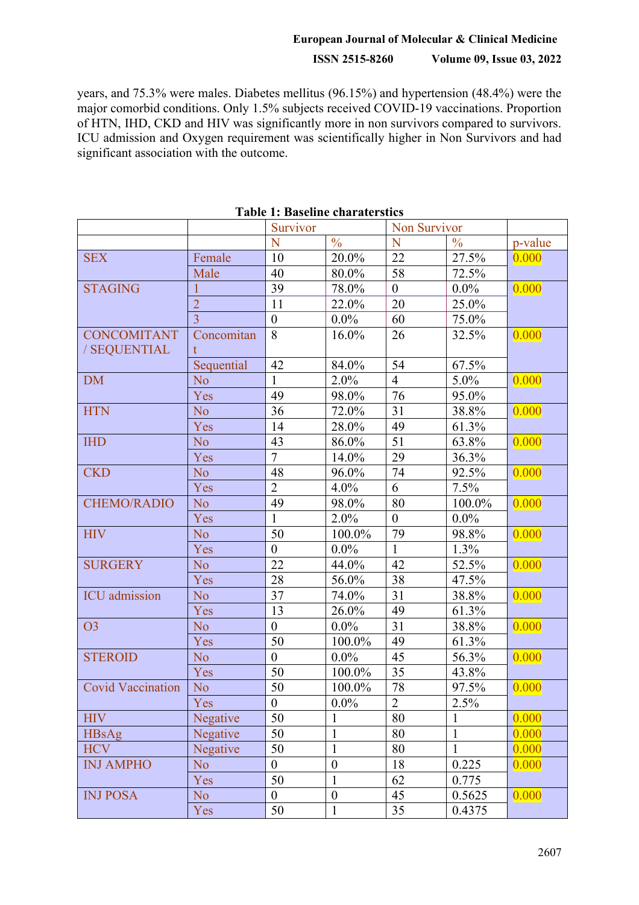# **European Journal of Molecular & Clinical Medicine**

# **ISSN 2515-8260 Volume 09, Issue 03, 2022**

years, and 75.3% were males. Diabetes mellitus (96.15%) and hypertension (48.4%) were the major comorbid conditions. Only 1.5% subjects received COVID-19 vaccinations. Proportion of HTN, IHD, CKD and HIV was significantly more in non survivors compared to survivors. ICU admission and Oxygen requirement was scientifically higher in Non Survivors and had significant association with the outcome.

|                          |                        | Survivor         |                  | Non Survivor     |               |         |
|--------------------------|------------------------|------------------|------------------|------------------|---------------|---------|
|                          |                        | N                | $\frac{0}{0}$    | N                | $\frac{0}{0}$ | p-value |
| <b>SEX</b>               | Female                 | 10               | 20.0%            | 22               | 27.5%         | 0.000   |
|                          | Male                   | 40               | 80.0%            | 58               | 72.5%         |         |
| <b>STAGING</b>           | 1                      | 39               | 78.0%            | $\boldsymbol{0}$ | $0.0\%$       | 0.000   |
|                          | $\overline{2}$         | 11               | 22.0%            | 20               | 25.0%         |         |
|                          | $\overline{3}$         | $\boldsymbol{0}$ | $0.0\%$          | 60               | 75.0%         |         |
| <b>CONCOMITANT</b>       | Concomitan             | 8                | 16.0%            | 26               | 32.5%         | 0.000   |
| / SEQUENTIAL             | t                      |                  |                  |                  |               |         |
|                          | Sequential             | 42               | 84.0%            | 54               | 67.5%         |         |
| <b>DM</b>                | No.                    | $\mathbf{1}$     | 2.0%             | $\overline{4}$   | $5.0\%$       | 0.000   |
|                          | Yes                    | 49               | 98.0%            | 76               | 95.0%         |         |
| <b>HTN</b>               | N <sub>o</sub>         | 36               | 72.0%            | 31               | 38.8%         | 0.000   |
|                          | Yes                    | 14               | 28.0%            | 49               | 61.3%         |         |
| <b>IHD</b>               | N <sub>o</sub>         | 43               | 86.0%            | 51               | 63.8%         | 0.000   |
|                          | Yes                    | $\overline{7}$   | 14.0%            | 29               | 36.3%         |         |
| <b>CKD</b>               | N <sub>o</sub>         | 48               | 96.0%            | 74               | 92.5%         | 0.000   |
|                          | Yes                    | $\overline{2}$   | 4.0%             | 6                | 7.5%          |         |
| <b>CHEMO/RADIO</b>       | N <sub>o</sub>         | 49               | 98.0%            | 80               | 100.0%        | 0.000   |
|                          | Yes                    | $\mathbf{1}$     | 2.0%             | $\overline{0}$   | $0.0\%$       |         |
| <b>HIV</b>               | N <sub>o</sub>         | 50               | 100.0%           | 79               | 98.8%         | 0.000   |
|                          | Yes                    | $\overline{0}$   | $0.0\%$          | $\mathbf{1}$     | $1.3\%$       |         |
| <b>SURGERY</b>           | N <sub>o</sub>         | 22               | 44.0%            | 42               | 52.5%         | 0.000   |
|                          | Yes                    | 28               | 56.0%            | 38               | 47.5%         |         |
| <b>ICU</b> admission     | N <sub>o</sub>         | 37               | 74.0%            | 31               | 38.8%         | 0.000   |
|                          | Yes                    | 13               | 26.0%            | 49               | 61.3%         |         |
| O <sub>3</sub>           | $\overline{\text{No}}$ | $\overline{0}$   | $0.0\%$          | 31               | 38.8%         | 0.000   |
|                          | Yes                    | 50               | 100.0%           | 49               | 61.3%         |         |
| <b>STEROID</b>           | N <sub>o</sub>         | $\overline{0}$   | $0.0\%$          | 45               | 56.3%         | 0.000   |
|                          | Yes                    | 50               | 100.0%           | 35               | 43.8%         |         |
| <b>Covid Vaccination</b> | N <sub>o</sub>         | 50               | 100.0%           | 78               | 97.5%         | 0.000   |
|                          | Yes                    | $\overline{0}$   | $0.0\%$          | 2                | $2.5\%$       |         |
| <b>HIV</b>               | Negative               | 50               | 1                | 80               | 1             | 0.000   |
| <b>HBsAg</b>             | Negative               | 50               | $\mathbf{1}$     | 80               | $\mathbf{1}$  | 0.000   |
| <b>HCV</b>               | Negative               | 50               | $\mathbf{1}$     | 80               | $\mathbf{1}$  | 0.000   |
| <b>INJ AMPHO</b>         | No.                    | $\boldsymbol{0}$ | $\boldsymbol{0}$ | 18               | 0.225         | 0.000   |
|                          | Yes                    | 50               | $\mathbf{1}$     | 62               | 0.775         |         |
| <b>INJ POSA</b>          | No                     | $\overline{0}$   | $\boldsymbol{0}$ | 45               | 0.5625        | 0.000   |
|                          | Yes                    | 50               | $\mathbf{1}$     | 35               | 0.4375        |         |

#### **Table 1: Baseline charaterstics**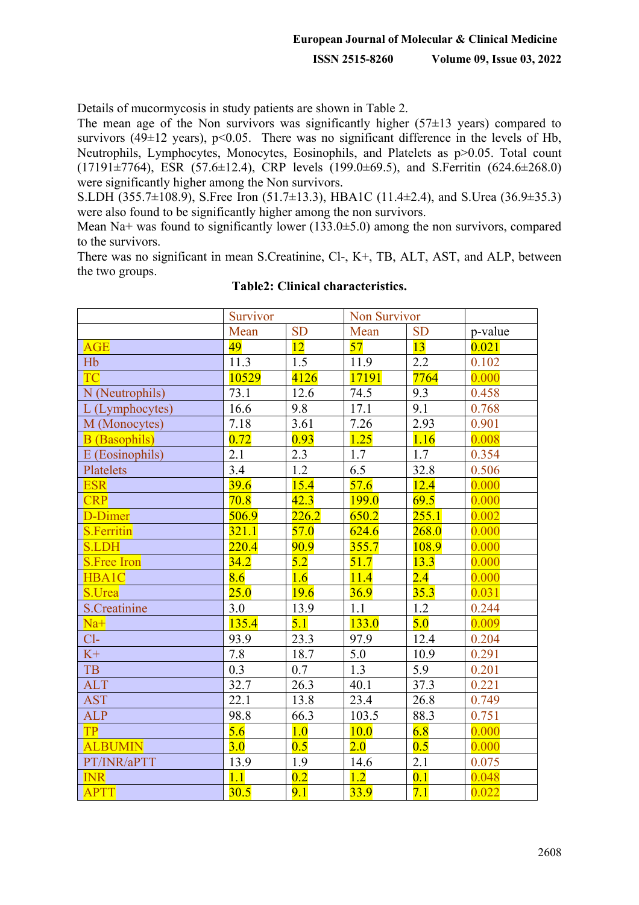Details of mucormycosis in study patients are shown in Table 2.

The mean age of the Non survivors was significantly higher  $(57\pm13 \text{ years})$  compared to survivors (49 $\pm$ 12 years), p<0.05. There was no significant difference in the levels of Hb, Neutrophils, Lymphocytes, Monocytes, Eosinophils, and Platelets as p>0.05. Total count (17191±7764), ESR (57.6±12.4), CRP levels (199.0±69.5), and S.Ferritin (624.6±268.0) were significantly higher among the Non survivors.

S.LDH (355.7±108.9), S.Free Iron (51.7±13.3), HBA1C (11.4±2.4), and S.Urea (36.9±35.3) were also found to be significantly higher among the non survivors.

Mean Na+ was found to significantly lower  $(133.0\pm 5.0)$  among the non survivors, compared to the survivors.

There was no significant in mean S.Creatinine, Cl-, K+, TB, ALT, AST, and ALP, between the two groups.

|                      | Survivor |           | Non Survivor |           |         |
|----------------------|----------|-----------|--------------|-----------|---------|
|                      | Mean     | <b>SD</b> | Mean         | <b>SD</b> | p-value |
| <b>AGE</b>           | 49       | 12        | 57           | 13        | 0.021   |
| H <sub>b</sub>       | 11.3     | 1.5       | 11.9         | 2.2       | 0.102   |
| <b>TC</b>            | 10529    | 4126      | 17191        | 7764      | 0.000   |
| N (Neutrophils)      | 73.1     | 12.6      | 74.5         | 9.3       | 0.458   |
| L (Lymphocytes)      | 16.6     | 9.8       | 17.1         | 9.1       | 0.768   |
| M (Monocytes)        | 7.18     | 3.61      | 7.26         | 2.93      | 0.901   |
| <b>B</b> (Basophils) | 0.72     | 0.93      | 1.25         | 1.16      | 0.008   |
| E (Eosinophils)      | 2.1      | 2.3       | 1.7          | 1.7       | 0.354   |
| Platelets            | 3.4      | 1.2       | 6.5          | 32.8      | 0.506   |
| <b>ESR</b>           | 39.6     | 15.4      | 57.6         | 12.4      | 0.000   |
| <b>CRP</b>           | 70.8     | 42.3      | <b>199.0</b> | 69.5      | 0.000   |
| D-Dimer              | 506.9    | 226.2     | 650.2        | 255.1     | 0.002   |
| <b>S.Ferritin</b>    | 321.1    | 57.0      | 624.6        | 268.0     | 0.000   |
| <b>S.LDH</b>         | 220.4    | 90.9      | 355.7        | 108.9     | 0.000   |
| <b>S.Free Iron</b>   | 34.2     | 5.2       | 51.7         | 13.3      | 0.000   |
| HBA1C                | 8.6      | 1.6       | 11.4         | 2.4       | 0.000   |
| S.Urea               | 25.0     | 19.6      | 36.9         | 35.3      | 0.031   |
| <b>S.Creatinine</b>  | 3.0      | 13.9      | 1.1          | 1.2       | 0.244   |
| $Na+$                | 135.4    | 5.1       | <b>133.0</b> | 5.0       | 0.009   |
| $Cl-$                | 93.9     | 23.3      | 97.9         | 12.4      | 0.204   |
| $K+$                 | 7.8      | 18.7      | 5.0          | 10.9      | 0.291   |
| TB                   | 0.3      | 0.7       | 1.3          | 5.9       | 0.201   |
| <b>ALT</b>           | 32.7     | 26.3      | 40.1         | 37.3      | 0.221   |
| <b>AST</b>           | 22.1     | 13.8      | 23.4         | 26.8      | 0.749   |
| <b>ALP</b>           | 98.8     | 66.3      | 103.5        | 88.3      | 0.751   |
| <b>TP</b>            | 5.6      | 1.0       | 10.0         | 6.8       | 0.000   |
| <b>ALBUMIN</b>       | 3.0      | 0.5       | 2.0          | 0.5       | 0.000   |
| PT/INR/aPTT          | 13.9     | 1.9       | 14.6         | 2.1       | 0.075   |
| <b>INR</b>           | 1.1      | 0.2       | 1.2          | 0.1       | 0.048   |
| <b>APTT</b>          | 30.5     | 9.1       | 33.9         | 7.1       | 0.022   |

#### **Table2: Clinical characteristics.**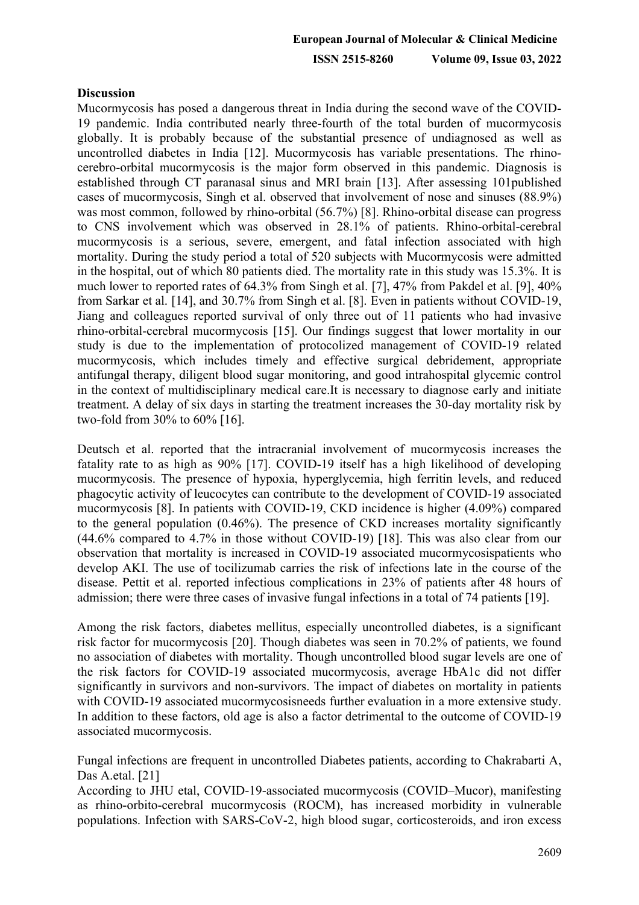## **Discussion**

Mucormycosis has posed a dangerous threat in India during the second wave of the COVID-19 pandemic. India contributed nearly three-fourth of the total burden of mucormycosis globally. It is probably because of the substantial presence of undiagnosed as well as uncontrolled diabetes in India [12]. Mucormycosis has variable presentations. The rhinocerebro-orbital mucormycosis is the major form observed in this pandemic. Diagnosis is established through CT paranasal sinus and MRI brain [13]. After assessing 101published cases of mucormycosis, Singh et al. observed that involvement of nose and sinuses (88.9%) was most common, followed by rhino-orbital (56.7%) [8]. Rhino-orbital disease can progress to CNS involvement which was observed in 28.1% of patients. Rhino-orbital-cerebral mucormycosis is a serious, severe, emergent, and fatal infection associated with high mortality. During the study period a total of 520 subjects with Mucormycosis were admitted in the hospital, out of which 80 patients died. The mortality rate in this study was 15.3%. It is much lower to reported rates of 64.3% from Singh et al. [7], 47% from Pakdel et al. [9], 40% from Sarkar et al. [14], and 30.7% from Singh et al. [8]. Even in patients without COVID-19, Jiang and colleagues reported survival of only three out of 11 patients who had invasive rhino-orbital-cerebral mucormycosis [15]. Our findings suggest that lower mortality in our study is due to the implementation of protocolized management of COVID-19 related mucormycosis, which includes timely and effective surgical debridement, appropriate antifungal therapy, diligent blood sugar monitoring, and good intrahospital glycemic control in the context of multidisciplinary medical care.It is necessary to diagnose early and initiate treatment. A delay of six days in starting the treatment increases the 30-day mortality risk by two-fold from 30% to 60% [16].

Deutsch et al. reported that the intracranial involvement of mucormycosis increases the fatality rate to as high as 90% [17]. COVID-19 itself has a high likelihood of developing mucormycosis. The presence of hypoxia, hyperglycemia, high ferritin levels, and reduced phagocytic activity of leucocytes can contribute to the development of COVID-19 associated mucormycosis [8]. In patients with COVID-19, CKD incidence is higher (4.09%) compared to the general population (0.46%). The presence of CKD increases mortality significantly (44.6% compared to 4.7% in those without COVID-19) [18]. This was also clear from our observation that mortality is increased in COVID-19 associated mucormycosispatients who develop AKI. The use of tocilizumab carries the risk of infections late in the course of the disease. Pettit et al. reported infectious complications in 23% of patients after 48 hours of admission; there were three cases of invasive fungal infections in a total of 74 patients [19].

Among the risk factors, diabetes mellitus, especially uncontrolled diabetes, is a significant risk factor for mucormycosis [20]. Though diabetes was seen in 70.2% of patients, we found no association of diabetes with mortality. Though uncontrolled blood sugar levels are one of the risk factors for COVID-19 associated mucormycosis, average HbA1c did not differ significantly in survivors and non-survivors. The impact of diabetes on mortality in patients with COVID-19 associated mucormycosisneeds further evaluation in a more extensive study. In addition to these factors, old age is also a factor detrimental to the outcome of COVID-19 associated mucormycosis.

Fungal infections are frequent in uncontrolled Diabetes patients, according to Chakrabarti A, Das A.etal. [21]

According to JHU etal, COVID-19-associated mucormycosis (COVID–Mucor), manifesting as rhino-orbito-cerebral mucormycosis (ROCM), has increased morbidity in vulnerable populations. Infection with SARS-CoV-2, high blood sugar, corticosteroids, and iron excess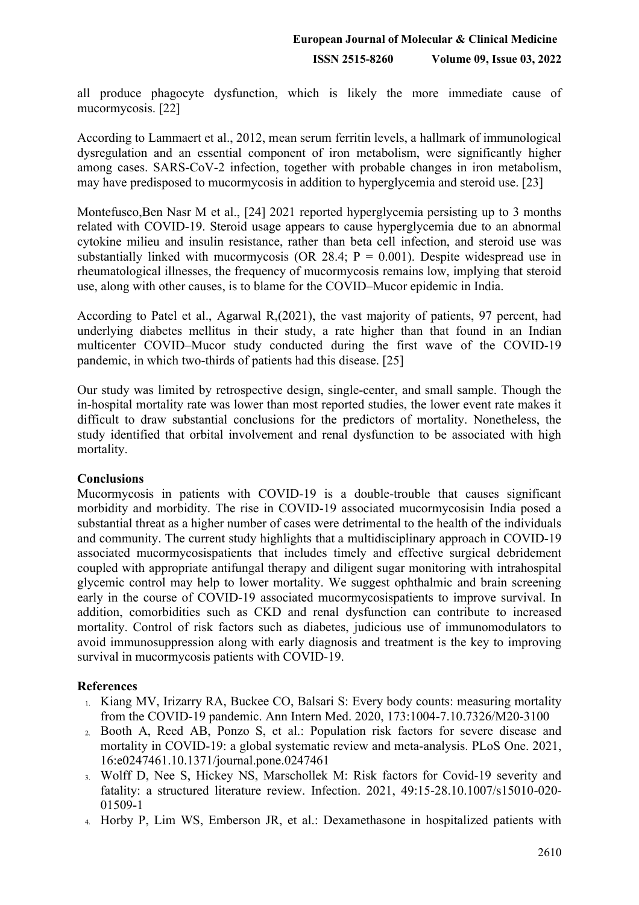all produce phagocyte dysfunction, which is likely the more immediate cause of mucormycosis. [22]

According to Lammaert et al., 2012, mean serum ferritin levels, a hallmark of immunological dysregulation and an essential component of iron metabolism, were significantly higher among cases. SARS-CoV-2 infection, together with probable changes in iron metabolism, may have predisposed to mucormycosis in addition to hyperglycemia and steroid use. [23]

Montefusco,Ben Nasr M et al., [24] 2021 reported hyperglycemia persisting up to 3 months related with COVID-19. Steroid usage appears to cause hyperglycemia due to an abnormal cytokine milieu and insulin resistance, rather than beta cell infection, and steroid use was substantially linked with mucormycosis (OR 28.4;  $P = 0.001$ ). Despite widespread use in rheumatological illnesses, the frequency of mucormycosis remains low, implying that steroid use, along with other causes, is to blame for the COVID–Mucor epidemic in India.

According to Patel et al., Agarwal R,(2021), the vast majority of patients, 97 percent, had underlying diabetes mellitus in their study, a rate higher than that found in an Indian multicenter COVID–Mucor study conducted during the first wave of the COVID-19 pandemic, in which two-thirds of patients had this disease. [25]

Our study was limited by retrospective design, single-center, and small sample. Though the in-hospital mortality rate was lower than most reported studies, the lower event rate makes it difficult to draw substantial conclusions for the predictors of mortality. Nonetheless, the study identified that orbital involvement and renal dysfunction to be associated with high mortality.

## **Conclusions**

Mucormycosis in patients with COVID-19 is a double-trouble that causes significant morbidity and morbidity. The rise in COVID-19 associated mucormycosisin India posed a substantial threat as a higher number of cases were detrimental to the health of the individuals and community. The current study highlights that a multidisciplinary approach in COVID-19 associated mucormycosispatients that includes timely and effective surgical debridement coupled with appropriate antifungal therapy and diligent sugar monitoring with intrahospital glycemic control may help to lower mortality. We suggest ophthalmic and brain screening early in the course of COVID-19 associated mucormycosispatients to improve survival. In addition, comorbidities such as CKD and renal dysfunction can contribute to increased mortality. Control of risk factors such as diabetes, judicious use of immunomodulators to avoid immunosuppression along with early diagnosis and treatment is the key to improving survival in mucormycosis patients with COVID-19.

# **References**

- 1. Kiang MV, Irizarry RA, Buckee CO, Balsari S: Every body counts: measuring mortality [from the COVID-19 pandemic. Ann Intern Med. 2020, 173:1004-7.10.7326/M20-3100](https://dx.doi.org/10.7326/M20-3100?utm_medium=email&utm_source=transaction)
- [Booth A, Reed AB, Ponzo S, et al.: Population risk factors for severe disease and](https://dx.doi.org/10.1371/journal.pone.0247461?utm_medium=email&utm_source=transaction)  [mortality in COVID-19: a global systematic review and meta-analysis. PLoS One. 2021,](https://dx.doi.org/10.1371/journal.pone.0247461?utm_medium=email&utm_source=transaction)  [16:e0247461.10.1371/journal.pone.0247461](https://dx.doi.org/10.1371/journal.pone.0247461?utm_medium=email&utm_source=transaction)
- [Wolff D, Nee S, Hickey NS, Marschollek M: Risk factors for Covid-19 severity and](https://dx.doi.org/10.1007/s15010-020-01509-1?utm_medium=email&utm_source=transaction)  [fatality: a structured literature review. Infection. 2021, 49:15-28.10.1007/s15010-020-](https://dx.doi.org/10.1007/s15010-020-01509-1?utm_medium=email&utm_source=transaction) [01509-1](https://dx.doi.org/10.1007/s15010-020-01509-1?utm_medium=email&utm_source=transaction)
- 4. Horby P, Lim WS, Emberson JR, et al.: Dexamethasone in hospitalized patients with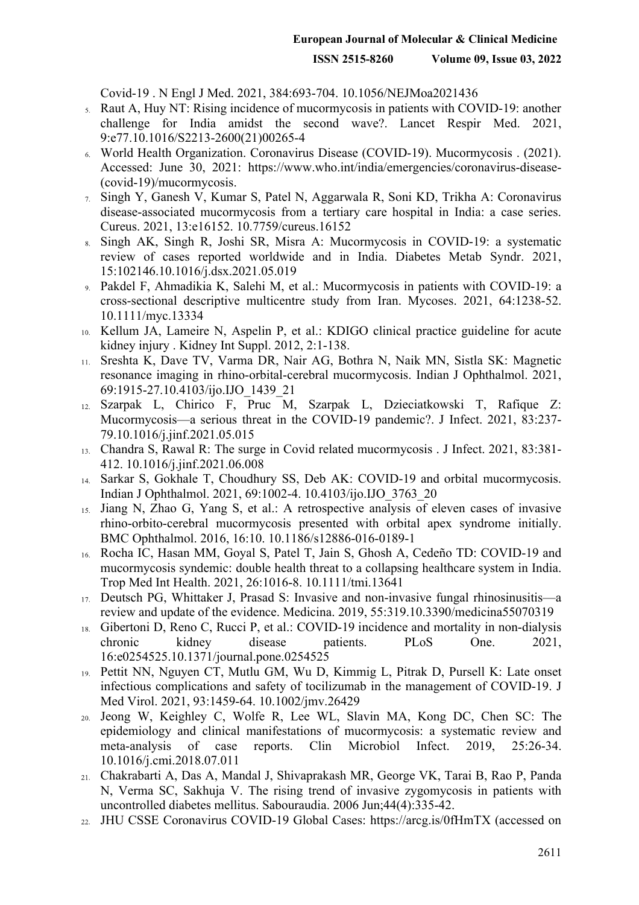[Covid-19 .](https://dx.doi.org/10.1056/NEJMoa2021436?utm_medium=email&utm_source=transaction) N Engl J Med. 2021, 384:693-704. [10.1056/NEJMoa2021436](https://dx.doi.org/10.1056/NEJMoa2021436?utm_medium=email&utm_source=transaction)

- [Raut A, Huy NT: Rising incidence of mucormycosis in patients with COVID-19: another](https://dx.doi.org/10.1016/S2213-2600(21)00265-4?utm_medium=email&utm_source=transaction)  [challenge for India amidst the second wave?. Lancet Respir Med. 2021,](https://dx.doi.org/10.1016/S2213-2600(21)00265-4?utm_medium=email&utm_source=transaction)  [9:e77.10.1016/S2213-2600\(21\)00265-4](https://dx.doi.org/10.1016/S2213-2600(21)00265-4?utm_medium=email&utm_source=transaction)
- [World Health Organization. Coronavirus Disease \(COVID-19\). Mucormycosis .](https://www.who.int/india/emergencies/coronavirus-disease-(covid-19)/mucormycosis?utm_medium=email&utm_source=transaction) (2021). Accessed: June 30, 2021: [https://www.who.int/india/emergencies/coronavirus-disease-](https://www.who.int/india/emergencies/coronavirus-disease-(covid-19)/mucormycosis?utm_medium=email&utm_source=transaction) [\(covid-19\)/mucormycosis](https://www.who.int/india/emergencies/coronavirus-disease-(covid-19)/mucormycosis?utm_medium=email&utm_source=transaction).
- [Singh Y, Ganesh V, Kumar S, Patel N, Aggarwala R, Soni KD, Trikha A: Coronavirus](https://dx.doi.org/10.7759/cureus.16152?utm_medium=email&utm_source=transaction)  [disease-associated mucormycosis from a tertiary care hospital in India: a case series.](https://dx.doi.org/10.7759/cureus.16152?utm_medium=email&utm_source=transaction)  [Cureus. 2021, 13:e16152. 10.7759/cureus.16152](https://dx.doi.org/10.7759/cureus.16152?utm_medium=email&utm_source=transaction)
- [Singh AK, Singh R, Joshi SR, Misra A: Mucormycosis in COVID-19: a systematic](https://dx.doi.org/10.1016/j.dsx.2021.05.019?utm_medium=email&utm_source=transaction)  8. [review of cases reported worldwide and in India. Diabetes Metab Syndr. 2021,](https://dx.doi.org/10.1016/j.dsx.2021.05.019?utm_medium=email&utm_source=transaction)  [15:102146.10.1016/j.dsx.2021.05.019](https://dx.doi.org/10.1016/j.dsx.2021.05.019?utm_medium=email&utm_source=transaction)
- [Pakdel F, Ahmadikia K, Salehi M, et al.: Mucormycosis in patients with COVID-19: a](https://dx.doi.org/10.1111/myc.13334?utm_medium=email&utm_source=transaction)  [cross-sectional descriptive multicentre study from Iran. Mycoses. 2021, 64:1238-52.](https://dx.doi.org/10.1111/myc.13334?utm_medium=email&utm_source=transaction)  [10.1111/myc.13334](https://dx.doi.org/10.1111/myc.13334?utm_medium=email&utm_source=transaction)
- Kellum JA, Lameire N, Aspelin P, et al.: [KDIGO clinical practice guideline for acute](https://kdigo.org/wp-content/uploads/2016/10/KDIGO-2012-AKI-Guideline-English.pdf?utm_medium=email&utm_source=transaction)  [kidney injury .](https://kdigo.org/wp-content/uploads/2016/10/KDIGO-2012-AKI-Guideline-English.pdf?utm_medium=email&utm_source=transaction) Kidney Int Suppl. 2012, 2:1-138.
- [Sreshta K, Dave TV, Varma DR, Nair AG, Bothra N, Naik MN, Sistla SK: Magnetic](https://dx.doi.org/10.4103/ijo.IJO_1439_21?utm_medium=email&utm_source=transaction)   $11.$ [resonance imaging in rhino-orbital-cerebral mucormycosis. Indian J Ophthalmol. 2021,](https://dx.doi.org/10.4103/ijo.IJO_1439_21?utm_medium=email&utm_source=transaction)  [69:1915-27.10.4103/ijo.IJO\\_1439\\_21](https://dx.doi.org/10.4103/ijo.IJO_1439_21?utm_medium=email&utm_source=transaction)
- [Szarpak L, Chirico F, Pruc M, Szarpak L, Dzieciatkowski T, Rafique Z:](https://dx.doi.org/10.1016/j.jinf.2021.05.015?utm_medium=email&utm_source=transaction)  [Mucormycosis—a serious threat in the COVID-19 pandemic?. J Infect. 2021, 83:237-](https://dx.doi.org/10.1016/j.jinf.2021.05.015?utm_medium=email&utm_source=transaction) [79.10.1016/j.jinf.2021.05.015](https://dx.doi.org/10.1016/j.jinf.2021.05.015?utm_medium=email&utm_source=transaction)
- Chandra S, Rawal R: [The surge in Covid related mucormycosis .](https://dx.doi.org/10.1016/j.jinf.2021.06.008?utm_medium=email&utm_source=transaction) J Infect. 2021, 83:381- 412[. 10.1016/j.jinf.2021.06.008](https://dx.doi.org/10.1016/j.jinf.2021.06.008?utm_medium=email&utm_source=transaction)
- 14. Sarkar S, Gokhale T, Choudhury SS, Deb AK: [COVID-19 and orbital mucormycosis.](https://dx.doi.org/10.4103/ijo.IJO_3763_20?utm_medium=email&utm_source=transaction) Indian J Ophthalmol. 2021, 69:1002-4. [10.4103/ijo.IJO\\_3763\\_20](https://dx.doi.org/10.4103/ijo.IJO_3763_20?utm_medium=email&utm_source=transaction)
- [Jiang N, Zhao G, Yang S, et al.: A retrospective analysis of eleven cases of invasive](https://dx.doi.org/10.1186/s12886-016-0189-1?utm_medium=email&utm_source=transaction)   $15.$ [rhino-orbito-cerebral mucormycosis presented with orbital apex syndrome initially.](https://dx.doi.org/10.1186/s12886-016-0189-1?utm_medium=email&utm_source=transaction)  [BMC Ophthalmol. 2016, 16:10. 10.1186/s12886-016-0189-1](https://dx.doi.org/10.1186/s12886-016-0189-1?utm_medium=email&utm_source=transaction)
- [Rocha IC, Hasan MM, Goyal S, Patel T, Jain S, Ghosh A, Cedeño TD: COVID-19 and](https://dx.doi.org/10.1111/tmi.13641?utm_medium=email&utm_source=transaction)   $16.$ [mucormycosis syndemic: double health threat to a collapsing healthcare system in India.](https://dx.doi.org/10.1111/tmi.13641?utm_medium=email&utm_source=transaction)  [Trop Med Int Health. 20](https://dx.doi.org/10.1111/tmi.13641?utm_medium=email&utm_source=transaction)21, 26:1016-8. [10.1111/tmi.13641](https://dx.doi.org/10.1111/tmi.13641?utm_medium=email&utm_source=transaction)
- [Deutsch PG, Whittaker J, Prasad S: Invasive and non-invasive fungal rhinosinusitis—a](https://dx.doi.org/10.3390/medicina55070319?utm_medium=email&utm_source=transaction)  [review and update of the evidence. Medicina. 2019, 55:319.10.3390/medicina55070319](https://dx.doi.org/10.3390/medicina55070319?utm_medium=email&utm_source=transaction)
- [Gibertoni D, Reno C, Rucci P, et al.: COVID-19 incidence and mortality in non-dialysis](https://dx.doi.org/10.1371/journal.pone.0254525?utm_medium=email&utm_source=transaction)   $18.$ [chronic kidney disease patients. PLoS One. 2021,](https://dx.doi.org/10.1371/journal.pone.0254525?utm_medium=email&utm_source=transaction)  [16:e0254525.10.1371/journal.pone.0254525](https://dx.doi.org/10.1371/journal.pone.0254525?utm_medium=email&utm_source=transaction)
- [Pettit NN, Nguyen CT, Mutlu GM, Wu D, Kimmig L, Pitrak D, Pursell K: Late onset](https://dx.doi.org/10.1002/jmv.26429?utm_medium=email&utm_source=transaction)  [infectious complications and safety of tocilizumab in the management of COVID-19. J](https://dx.doi.org/10.1002/jmv.26429?utm_medium=email&utm_source=transaction)  [Med Virol. 2021, 93:1459-64. 10.1002/jmv.26429](https://dx.doi.org/10.1002/jmv.26429?utm_medium=email&utm_source=transaction)
- [Jeong W, Keighley C, Wolfe R, Lee WL, Slavin MA, Kong DC, Chen SC: The](https://dx.doi.org/10.1016/j.cmi.2018.07.011?utm_medium=email&utm_source=transaction)  [epidemiology and clinical manifestations of mucormycosis: a systematic review and](https://dx.doi.org/10.1016/j.cmi.2018.07.011?utm_medium=email&utm_source=transaction)  meta-analysis [of case reports. Clin Microbio](https://dx.doi.org/10.1016/j.cmi.2018.07.011?utm_medium=email&utm_source=transaction)l Infect. 2019, 25:26-34. [10.1016/j.cmi.2018.07.011](https://dx.doi.org/10.1016/j.cmi.2018.07.011?utm_medium=email&utm_source=transaction)
- Chakrabarti A, Das A, Mandal J, Shivaprakash MR, George VK, Tarai B, Rao P, Panda N, Verma SC, Sakhuja V. The rising trend of invasive zygomycosis in patients with uncontrolled diabetes mellitus. Sabouraudia. 2006 Jun;44(4):335-42.
- JHU CSSE Coronavirus COVID-19 Global Cases: https://arcg.is/0fHmTX (accessed on